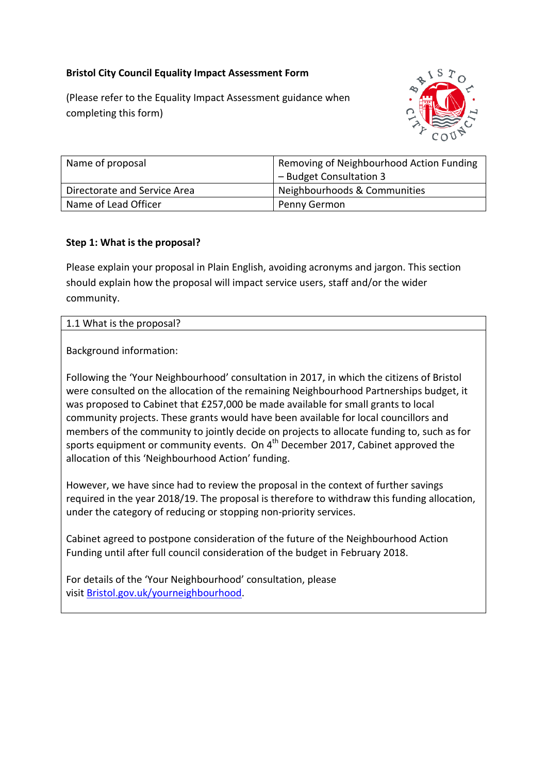# **Bristol City Council Equality Impact Assessment Form**

(Please refer to the Equality Impact Assessment guidance when completing this form)



| Name of proposal             | Removing of Neighbourhood Action Funding |
|------------------------------|------------------------------------------|
|                              | - Budget Consultation 3                  |
| Directorate and Service Area | Neighbourhoods & Communities             |
| Name of Lead Officer         | Penny Germon                             |

## **Step 1: What is the proposal?**

Please explain your proposal in Plain English, avoiding acronyms and jargon. This section should explain how the proposal will impact service users, staff and/or the wider community.

#### 1.1 What is the proposal?

Background information:

Following the 'Your Neighbourhood' consultation in 2017, in which the citizens of Bristol were consulted on the allocation of the remaining Neighbourhood Partnerships budget, it was proposed to Cabinet that £257,000 be made available for small grants to local community projects. These grants would have been available for local councillors and members of the community to jointly decide on projects to allocate funding to, such as for sports equipment or community events. On  $4<sup>th</sup>$  December 2017, Cabinet approved the allocation of this 'Neighbourhood Action' funding.

However, we have since had to review the proposal in the context of further savings required in the year 2018/19. The proposal is therefore to withdraw this funding allocation, under the category of reducing or stopping non-priority services.

Cabinet agreed to postpone consideration of the future of the Neighbourhood Action Funding until after full council consideration of the budget in February 2018.

For details of the 'Your Neighbourhood' consultation, please visit [Bristol.gov.uk/yourneighbourhood.](https://www.bristol.gov.uk/en_US/council-spending-performance/your-neighbourhood-consultation-2017)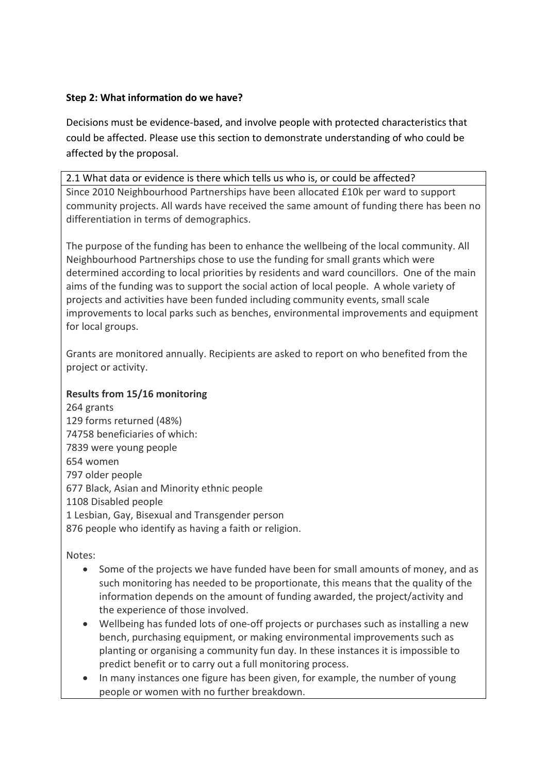## **Step 2: What information do we have?**

Decisions must be evidence-based, and involve people with protected characteristics that could be affected. Please use this section to demonstrate understanding of who could be affected by the proposal.

# 2.1 What data or evidence is there which tells us who is, or could be affected? Since 2010 Neighbourhood Partnerships have been allocated £10k per ward to support community projects. All wards have received the same amount of funding there has been no differentiation in terms of demographics.

The purpose of the funding has been to enhance the wellbeing of the local community. All Neighbourhood Partnerships chose to use the funding for small grants which were determined according to local priorities by residents and ward councillors. One of the main aims of the funding was to support the social action of local people. A whole variety of projects and activities have been funded including community events, small scale improvements to local parks such as benches, environmental improvements and equipment for local groups.

Grants are monitored annually. Recipients are asked to report on who benefited from the project or activity.

# **Results from 15/16 monitoring**

264 grants 129 forms returned (48%) 74758 beneficiaries of which: 7839 were young people 654 women 797 older people 677 Black, Asian and Minority ethnic people 1108 Disabled people 1 Lesbian, Gay, Bisexual and Transgender person 876 people who identify as having a faith or religion.

Notes:

- Some of the projects we have funded have been for small amounts of money, and as such monitoring has needed to be proportionate, this means that the quality of the information depends on the amount of funding awarded, the project/activity and the experience of those involved.
- Wellbeing has funded lots of one-off projects or purchases such as installing a new bench, purchasing equipment, or making environmental improvements such as planting or organising a community fun day. In these instances it is impossible to predict benefit or to carry out a full monitoring process.
- In many instances one figure has been given, for example, the number of young people or women with no further breakdown.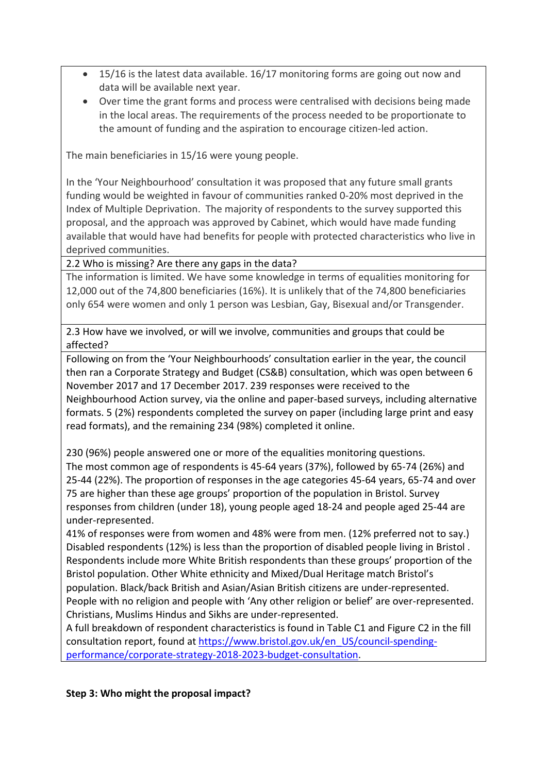- 15/16 is the latest data available. 16/17 monitoring forms are going out now and data will be available next year.
- Over time the grant forms and process were centralised with decisions being made in the local areas. The requirements of the process needed to be proportionate to the amount of funding and the aspiration to encourage citizen-led action.

The main beneficiaries in 15/16 were young people.

In the 'Your Neighbourhood' consultation it was proposed that any future small grants funding would be weighted in favour of communities ranked 0-20% most deprived in the Index of Multiple Deprivation. The majority of respondents to the survey supported this proposal, and the approach was approved by Cabinet, which would have made funding available that would have had benefits for people with protected characteristics who live in deprived communities.

2.2 Who is missing? Are there any gaps in the data?

The information is limited. We have some knowledge in terms of equalities monitoring for 12,000 out of the 74,800 beneficiaries (16%). It is unlikely that of the 74,800 beneficiaries only 654 were women and only 1 person was Lesbian, Gay, Bisexual and/or Transgender.

2.3 How have we involved, or will we involve, communities and groups that could be affected?

Following on from the 'Your Neighbourhoods' consultation earlier in the year, the council then ran a Corporate Strategy and Budget (CS&B) consultation, which was open between 6 November 2017 and 17 December 2017. 239 responses were received to the Neighbourhood Action survey, via the online and paper-based surveys, including alternative formats. 5 (2%) respondents completed the survey on paper (including large print and easy read formats), and the remaining 234 (98%) completed it online.

230 (96%) people answered one or more of the equalities monitoring questions.

The most common age of respondents is 45-64 years (37%), followed by 65-74 (26%) and 25-44 (22%). The proportion of responses in the age categories 45-64 years, 65-74 and over 75 are higher than these age groups' proportion of the population in Bristol. Survey responses from children (under 18), young people aged 18-24 and people aged 25-44 are under-represented.

41% of responses were from women and 48% were from men. (12% preferred not to say.) Disabled respondents (12%) is less than the proportion of disabled people living in Bristol . Respondents include more White British respondents than these groups' proportion of the Bristol population. Other White ethnicity and Mixed/Dual Heritage match Bristol's

population. Black/back British and Asian/Asian British citizens are under-represented. People with no religion and people with 'Any other religion or belief' are over-represented. Christians, Muslims Hindus and Sikhs are under-represented.

A full breakdown of respondent characteristics is found in Table C1 and Figure C2 in the fill consultation report, found at [https://www.bristol.gov.uk/en\\_US/council-spending](https://www.bristol.gov.uk/en_US/council-spending-performance/corporate-strategy-2018-2023-budget-consultation)[performance/corporate-strategy-2018-2023-budget-consultation.](https://www.bristol.gov.uk/en_US/council-spending-performance/corporate-strategy-2018-2023-budget-consultation)

**Step 3: Who might the proposal impact?**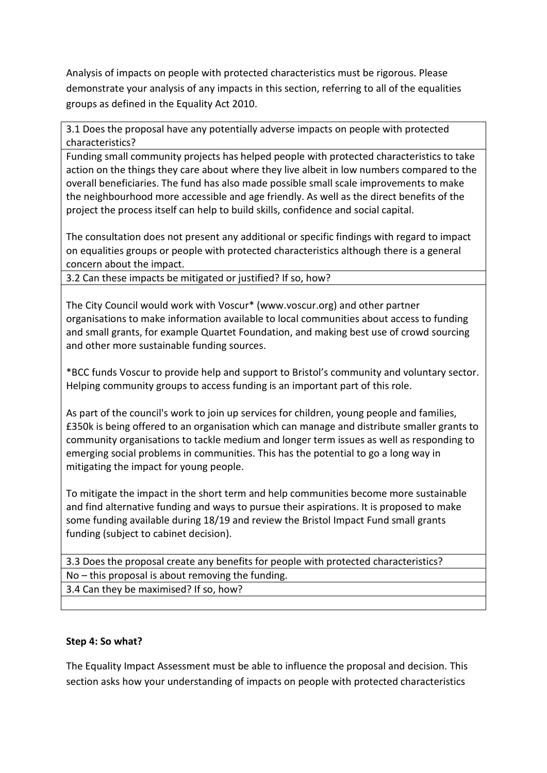Analysis of impacts on people with protected characteristics must be rigorous. Please demonstrate your analysis of any impacts in this section, referring to all of the equalities groups as defined in the Equality Act 2010.

3.1 Does the proposal have any potentially adverse impacts on people with protected characteristics?

Funding small community projects has helped people with protected characteristics to take action on the things they care about where they live albeit in low numbers compared to the overall beneficiaries. The fund has also made possible small scale improvements to make the neighbourhood more accessible and age friendly. As well as the direct benefits of the project the process itself can help to build skills, confidence and social capital.

The consultation does not present any additional or specific findings with regard to impact on equalities groups or people with protected characteristics although there is a general concern about the impact.

3.2 Can these impacts be mitigated or justified? If so, how?

The City Council would work with Voscur\* (www.voscur.org) and other partner organisations to make information available to local communities about access to funding and small grants, for example Quartet Foundation, and making best use of crowd sourcing and other more sustainable funding sources.

\*BCC funds Voscur to provide help and support to Bristol's community and voluntary sector. Helping community groups to access funding is an important part of this role.

As part of the council's work to join up services for children, young people and families, £350k is being offered to an organisation which can manage and distribute smaller grants to community organisations to tackle medium and longer term issues as well as responding to emerging social problems in communities. This has the potential to go a long way in mitigating the impact for young people.

To mitigate the impact in the short term and help communities become more sustainable and find alternative funding and ways to pursue their aspirations. It is proposed to make some funding available during 18/19 and review the Bristol Impact Fund small grants funding (subject to cabinet decision).

3.3 Does the proposal create any benefits for people with protected characteristics? No – this proposal is about removing the funding. 3.4 Can they be maximised? If so, how?

## **Step 4: So what?**

The Equality Impact Assessment must be able to influence the proposal and decision. This section asks how your understanding of impacts on people with protected characteristics